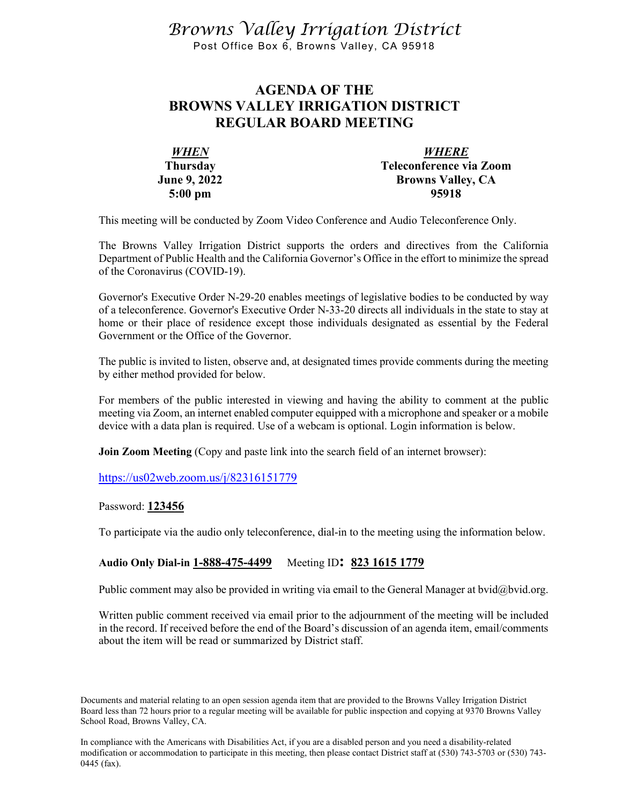*Browns Valley Irrigation District* Post Office Box 6, Browns Valley, CA 95918

## **AGENDA OF THE BROWNS VALLEY IRRIGATION DISTRICT REGULAR BOARD MEETING**

| <b>WHEN</b>         | <b>WHERE</b>             |
|---------------------|--------------------------|
| <b>Thursday</b>     | Teleconference via Zoom  |
| <b>June 9, 2022</b> | <b>Browns Valley, CA</b> |
| $5:00 \text{ pm}$   | 95918                    |

This meeting will be conducted by Zoom Video Conference and Audio Teleconference Only.

The Browns Valley Irrigation District supports the orders and directives from the California Department of Public Health and the California Governor's Office in the effort to minimize the spread of the Coronavirus (COVID-19).

Governor's Executive Order N-29-20 enables meetings of legislative bodies to be conducted by way of a teleconference. Governor's Executive Order N-33-20 directs all individuals in the state to stay at home or their place of residence except those individuals designated as essential by the Federal Government or the Office of the Governor.

The public is invited to listen, observe and, at designated times provide comments during the meeting by either method provided for below.

For members of the public interested in viewing and having the ability to comment at the public meeting via Zoom, an internet enabled computer equipped with a microphone and speaker or a mobile device with a data plan is required. Use of a webcam is optional. Login information is below.

**Join Zoom Meeting** (Copy and paste link into the search field of an internet browser):

<https://us02web.zoom.us/j/82316151779>

Password: **123456**

To participate via the audio only teleconference, dial-in to the meeting using the information below.

## **Audio Only Dial-in 1-888-475-4499** Meeting ID**: 823 1615 1779**

Public comment may also be provided in writing via email to the General Manager at bvid@bvid.org.

Written public comment received via email prior to the adjournment of the meeting will be included in the record. If received before the end of the Board's discussion of an agenda item, email/comments about the item will be read or summarized by District staff.

Documents and material relating to an open session agenda item that are provided to the Browns Valley Irrigation District Board less than 72 hours prior to a regular meeting will be available for public inspection and copying at 9370 Browns Valley School Road, Browns Valley, CA.

In compliance with the Americans with Disabilities Act, if you are a disabled person and you need a disability-related modification or accommodation to participate in this meeting, then please contact District staff at (530) 743-5703 or (530) 743- 0445 (fax).